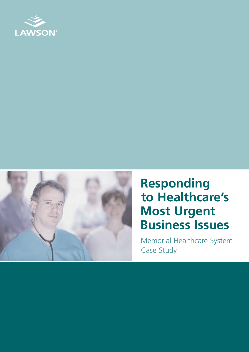



# **Responding to Healthcare's Most Urgent Business Issues**

Memorial Healthcare System Case Study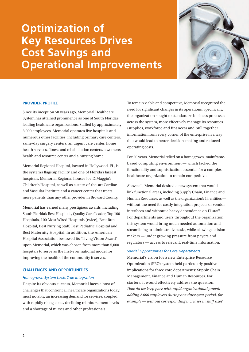## **Optimization of Key Resources Drives Cost Savings and Operational Improvements**



#### **PROVIDER PROFILE**

Since its inception 50 years ago, Memorial Healthcare System has attained prominence as one of South Florida's leading healthcare organizations. Staffed by approximately 8,000 employees, Memorial operates five hospitals and numerous other facilities, including primary care centers, same-day surgery centers, an urgent care center, home health services, fitness and rehabilitation centers, a women's health and resource center and a nursing home.

Memorial Regional Hospital, located in Hollywood, FL, is the system's flagship facility and one of Florida's largest hospitals. Memorial Regional houses Joe DiMaggio's Children's Hospital, as well as a state-of-the-art Cardiac and Vascular Institute and a cancer center that treats more patients than any other provider in Broward County.

Memorial has earned many prestigious awards, including South Florida's Best Hospitals, Quality Care Leader, Top 100 Hospitals, 100 Most Wired Hospitals (twice), Best Run Hospital, Best Nursing Staff, Best Pediatric Hospital and Best Maternity Hospital. In addition, the American Hospital Association bestowed its "Living Vision Award" upon Memorial, which was chosen from more than 5,000 hospitals to serve as the first-ever national model for improving the health of the community it serves.

#### **CHALLENGES AND OPPORTUNITIES**

#### *Homegrown System Lacks True Integration*

Despite its obvious success, Memorial faces a host of challenges that confront all healthcare organizations today: most notably, an increasing demand for services, coupled with rapidly rising costs, declining reimbursement levels and a shortage of nurses and other professionals.

To remain viable and competitive, Memorial recognized the need for significant changes in its operations. Specifically, the organization sought to standardize business processes across the system, more effectively manage its resources (supplies, workforce and finances) and pull together information from every corner of the enterprise in a way that would lead to better decision-making and reduced operating costs.

For 20 years, Memorial relied on a homegrown, mainframebased computing environment — which lacked the functionality and sophistication essential for a complex healthcare organization to remain competitive.

Above all, Memorial desired a new system that would link functional areas, including Supply Chain, Finance and Human Resources, as well as the organization's 14 entities without the need for costly integration projects or vendor interfaces and without a heavy dependence on IT staff. For departments and users throughout the organization, this system would bring much needed automation and streamlining to administrative tasks, while allowing decision makers — under growing pressure from payers and regulators — access to relevant, real-time information.

#### *Special Opportunities for Core Departments*

Memorial's vision for a new Enterprise Resource Optimization (ERO) system held particularly positive implications for three core departments: Supply Chain Management, Finance and Human Resources. For starters, it would effectively address the question: *How do we keep pace with rapid organizational growth adding 2,000 employees during one three-year period, for example — without corresponding increases in staff size?*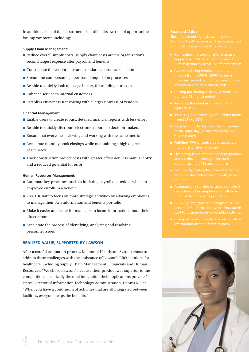In addition, each of the departments identified its own set of opportunities for improvement, including:

#### **Supply Chain Management:**

- Reduce overall supply costs (supply chain costs are the organization's second largest expense after payroll and benefits)
- Consolidate the vendor base and standardize product selection
- Streamline cumbersome paper-based requisition processes
- $\blacksquare$  Be able to quickly look up usage history for trending purposes
- **Enhance service to internal customers**
- $\blacksquare$  Establish efficient EDI invoicing with a larger universe of vendors

#### **Financial Management:**

- Enable users to create robust, detailed financial reports with less effort
- $\blacksquare$  Be able to quickly distribute electronic reports to decision-makers
- $\blacksquare$  Ensure that everyone is viewing and working with the same metrics
- Accelerate monthly book closings while maintaining a high degree of accuracy
- $\blacksquare$  Track construction project costs with greater efficiency, less manual entry and a reduced potential for error

#### **Human Resources Management:**

- Automate key processes, such as initiating payroll deductions when an employee enrolls in a benefit
- $\blacksquare$  Free HR staff to focus on more strategic activities by allowing employees to manage their own information and benefits portfolio
- Make it easier and faster for managers to locate information about their direct reports
- Accelerate the process of identifying, analyzing and resolving personnel issues

#### **REALIZED VALUE, SUPPORTED BY LAWSON**

After a careful evaluation process, Memorial Healthcare System chose to address these challenges with the assistance of Lawson's ERO solutions for healthcare, including Supply Chain Management, Financials and Human Resources. "We chose Lawson® because their product was superior to the competition, specifically the total integration their applications provide," states Director of Information Technology Administration, Dennis Miller. "When you have a continuum of activities that are all integrated between facilities, everyone reaps the benefits."

#### **Realized Value**

Memorial Healthcare System has documented

- 
- 
- 
- 
- 
- 
- 
- **Eliminating labor-intensive paper preparation** and distribution through electronic
- the 20th
- Automatically starting or stopping payroll
- 
- 

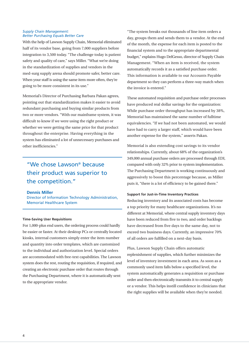#### *Supply Chain Management: Better Purchasing Equals Better Care*

With the help of Lawson Supply Chain, Memorial eliminated half of its vendor base, going from 7,000 suppliers before integration to 3,500 today. "The challenge today is patient safety and quality of care," says Miller. "What we're doing in the standardization of supplies and vendors in the med-surg supply arena should promote safer, better care. When your staff is using the same item more often, they're going to be more consistent in its use."

Memorial's Director of Purchasing Barbara Pakan agrees, pointing out that standardization makes it easier to avoid redundant purchasing and buying similar products from two or more vendors. "With our mainframe system, it was difficult to know if we were using the right product or whether we were getting the same price for that product throughout the enterprise. Having everything in the system has eliminated a lot of unnecessary purchases and other inefficiencies."

### "We chose Lawson® because their product was superior to the competition."

#### **Dennis Miller**

Director of Information Technology Administration, Memorial Healthcare System

#### **Time-Saving User Requisitions**

For 1,000-plus end users, the ordering process could hardly be easier or faster. At their desktop PCs or centrally located kiosks, internal customers simply enter the item number and quantity into order templates, which are customized to the individual and authorization level. Special orders are accommodated with free-text capabilities. The Lawson system does the rest, routing the requisition, if required, and creating an electronic purchase order that routes through the Purchasing Department, where it is automatically sent to the appropriate vendor.

"The system breaks out thousands of line item orders a day, groups them and sends them to a vendor. At the end of the month, the expense for each item is posted to the financial system and to the appropriate departmental budget," explains Hugo DelGesso, director of Supply Chain Management. "When an item is received, the system automatically records it as a satisfied purchase order. This information is available to our Accounts Payable department so they can perform a three-way match when the invoice is entered."

These automated requisition and purchase order processes have produced real dollar savings for the organization: While purchase order throughput has increased by 38%, Memorial has maintained the same number of fulltime equivalencies. "If we had not been automated, we would have had to carry a larger staff, which would have been another expense for the system," asserts Pakan.

Memorial is also extending cost savings to its vendor relationships. Currently, about 68% of the organization's 349,000 annual purchase orders are processed through EDI, compared with only 32% prior to system implementation. The Purchasing Department is working continuously and aggressively to boost this percentage because, as Miller puts it, "there is a lot of efficiency to be gained there."

#### **Support for Just-in-Time Inventory Practices**

Reducing inventory and its associated costs has become a top priority for many healthcare organizations. It's no different at Memorial, where central supply inventory days have been reduced from five to two, and order backlogs have decreased from five days to the same day, not to exceed two business days. Currently, an impressive 70% of all orders are fulfilled on a next-day basis.

Plus, Lawson Supply Chain offers automatic replenishment of supplies, which further minimizes the level of inventory investment in each area. As soon as a commonly used item falls below a specified level, the system automatically generates a requisition or purchase order and then electronically transmits it to central supply or a vendor. This helps instill confidence in clinicians that the right supplies will be available when they're needed.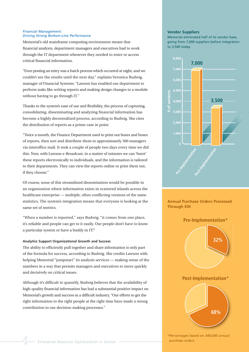#### *Financial Management: Driving Strong Bottom-Line Performance*

Memorial's old mainframe computing environment meant that financial analysts, department managers and executives had to work through the IT department whenever they needed to enter or access critical financial information.

"Even posting an entry was a batch process which occurred at night, and we couldn't see the results until the next day," explains Veronica Budwig, manager of Financial Systems. "Lawson has enabled our department to perform tasks like writing reports and making design changes to a module without having to go through IT."

Thanks to the system's ease of use and flexibility, the process of capturing, consolidating, disseminating and analyzing financial information has become a highly decentralized process, according to Budwig. She cites the distribution of reports as a prime case in point.

"Twice a month, the Finance Department used to print out boxes and boxes of reports, then sort and distribute them to approximately 300 managers via interoffice mail. It took a couple of people two days every time we did this. Now, with Lawson e-Broadcast, in a matter of minutes we can 'burst' these reports electronically to individuals, and the information is tailored to their departments. They can view the reports online or print them out, if they choose."

Of course, none of this streamlined dissemination would be possible in an organization where information exists in scattered islands across the healthcare enterprise — multiple, often conflicting versions of the same statistics. The system's integration means that everyone is looking at the same set of metrics.

"When a number is reported," says Budwig, "it comes from one place, it's reliable and people can get to it easily. Our people don't have to know a particular system or have a buddy in IT!"

#### **Analytics Support Organizational Growth and Success**

The ability to efficiently pull together and share information is only part of the formula for success, according to Budwig. She credits Lawson with helping Memorial "jumpstart" its analysis services — making sense of the numbers in a way that permits managers and executives to move quickly and decisively on critical issues.

Although it's difficult to quantify, Budwig believes that the availability of high-quality financial information has had a substantial positive impact on Memorial's growth and success in a difficult industry. "Our efforts to get the right information to the right people at the right time have made a strong contribution to our decision-making processes."

#### **Vendor Suppliers**

Memorial eliminated half of its vendor base, going from 7,000 suppliers before integration to 3,500 today.



#### **Annual Purchase Orders Processed Through EDI**



\**Percentages based on 349,000 annual purchase orders.*

Enterprise Resource Optimization in Action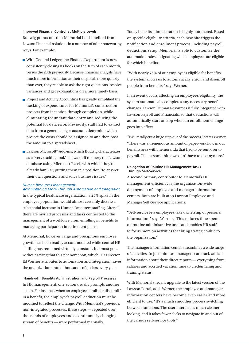#### **Improved Financial Control at Multiple Levels**

Budwig points out that Memorial has benefited from Lawson Financial solutions in a number of other noteworthy ways. For example:

- With General Ledger, the Finance Department is now consistently closing its books on the 10th of each month, versus the 20th previously. Because financial analysts have much more information at their disposal, more quickly than ever, they're able to ask the right questions, resolve variances and get explanations on a more timely basis.
- **Project and Activity Accounting has greatly simplified the** tracking of expenditures for Memorial's construction projects from inception through completion, while eliminating redundant data entry and reducing the potential for data error. Previously, staff had to extract data from a general ledger account, determine which project the costs should be assigned to and then post the amount to a spreadsheet.
- Lawson Microsoft<sup>®</sup> Add-ins, which Budwig characterizes as a "very exciting tool," allows staff to query the Lawson database using Microsoft Excel, with which they're already familiar, putting them in a position "to answer their own questions and solve business issues."

#### *Human Resources Management: Accomplishing More Through Automation and Integration*

In the typical healthcare organization, a 25% spike in the employee population would almost certainly dictate a substantial increase in Human Resources staffing. After all, there are myriad processes and tasks connected to the management of a workforce, from enrolling in benefits to managing participation in retirement plans.

At Memorial, however, large and precipitous employee growth has been readily accommodated while central HR staffing has remained virtually constant. It almost goes without saying that this phenomenon, which HR Director Ed Werner attributes to automation and integration, saves the organization untold thousands of dollars every year.

#### **'Hands-off' Benefits Administration and Payroll Processes**

In HR management, one action usually prompts another action. For instance, when an employee enrolls (or disenrolls) in a benefit, the employee's payroll deduction must be modified to reflect the change. With Memorial's previous, non-integrated processes, these steps — repeated over thousands of employees and a continuously changing stream of benefits — were performed manually.

Today benefits administration is highly automated. Based on specific eligibility criteria, each new hire triggers the notification and enrollment process, including payroll deductions setup. Memorial is able to customize the automation rules designating which employees are eligible for which benefits.

"With nearly 75% of our employees eligible for benefits, the system allows us to automatically enroll and disenroll people from benefits," says Werner.

If an event occurs affecting an employee's eligibility, the system automatically completes any necessary benefits changes. Lawson Human Resources is fully integrated with Lawson Payroll and Financials, so that deductions will automatically start or stop when an enrollment change goes into effect.

"We literally cut a huge step out of the process," states Werner. "There was a tremendous amount of paperwork flow in our benefits area with memoranda that had to be sent over to payroll. This is something we don't have to do anymore."

#### **Delegation of Routine HR Management Tasks Through Self-Service**

A second primary contributor to Memorial's HR management efficiency is the organization-wide deployment of employee and manager information centers. Both are built atop Lawson Employee and Manager Self-Service applications.

"Self-service lets employees take ownership of personal information," says Werner. "This reduces time spent on routine administrative tasks and enables HR staff to focus more on activities that bring strategic value to the organization."

The manager information center streamlines a wide range of activities. In just minutes, managers can track critical information about their direct reports — everything from salaries and accrued vacation time to credentialing and training status.

With Memorial's recent upgrade to the latest version of the Lawson Portal, adds Werner, the employee and manager information centers have become even easier and more efficient to use. "It's a much smoother process switching between functions. The user interface is much cleaner looking, and it takes fewer clicks to navigate in and out of the various self-service tools."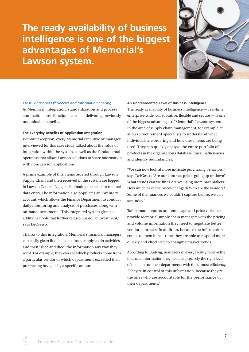**The ready availability of business intelligence is one of the biggest advantages of Memorial's Lawson system.**



#### *Cross-Functional Efficiencies and Information Sharing*

At Memorial, integration, standardization and process automation cross functional areas — delivering previously unattainable benefits.

#### **The Everyday Benefits of Application Integration**

Without exception, every Memorial executive or manager interviewed for this case study talked about the value of integration within the system, as well as the fundamental openness that allows Lawson solutions to share information with non-Lawson applications.

A prime example of this: Items ordered through Lawson Supply Chain and then received in the system are logged in Lawson General Ledger, eliminating the need for manual data entry. The information also populates an inventory account, which allows the Finance Department to conduct daily monitoring and analysis of purchases along with on-hand investment. "This integrated system gives us additional tools that further reduce our dollar investment," says DelGesso.

Thanks to this integration, Memorial's financial managers can easily glean financial data from supply chain activities and then "slice and dice" the information any way they want. For example, they can see which products come from a particular vendor or which departments exceeded their purchasing budgets by a specific amount.

#### **An Unprecedented Level of Business Intelligence**

The ready availability of business intelligence — real-time, enterprise-wide, collaborative, flexible and secure — is one of the biggest advantages of Memorial's Lawson system. In the area of supply chain management, for example, it allows Procurement specialists to understand what individuals are ordering and how these items are being used. They can quickly analyze the entire portfolio of products in the organization's database, track inefficiencies and identify redundancies.

"We can now look at more intricate purchasing behaviors," says DelGesso. "Are our contract prices going up or down? What trends can we find? Are we using more pacemakers? How much have the prices changed? Who are the vendors? Some of the nuances we couldn't capture before, we can see today."

Tailor-made reports on item usage and price variances provide Memorial supply chain managers with the pricing and volume information they need to negotiate better vendor contracts. In addition, because the information comes to them in real-time, they are able to respond more quickly and effectively to changing market trends.

According to Budwig, managers in every facility receive the financial information they need, at precisely the right level of detail to run their departments with the utmost efficiency. "They're in control of this information, because they're the ones who are accountable for the performance of their departments."